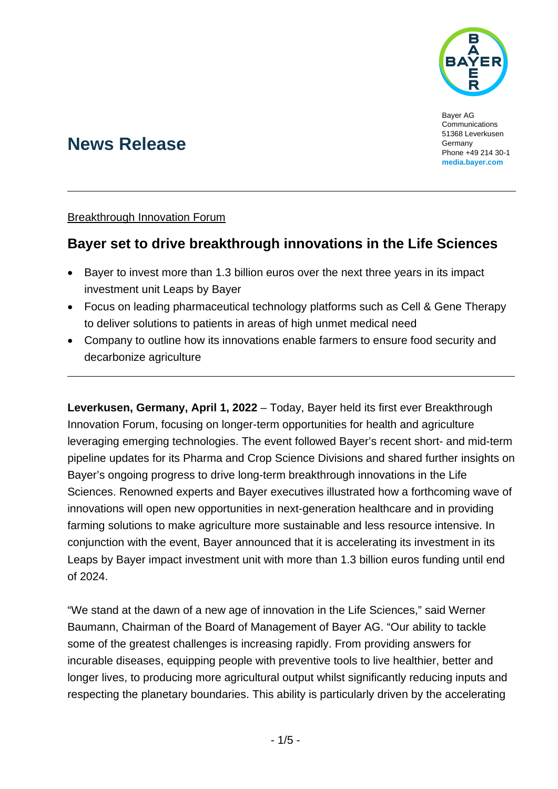

Bayer AG **Communications** 51368 Leverkusen Germany Phone +49 214 30-1 **[media.bayer.com](http://media.bayer.com/)**

# **News Release**

## Breakthrough Innovation Forum

# **Bayer set to drive breakthrough innovations in the Life Sciences**

- Bayer to invest more than 1.3 billion euros over the next three years in its impact investment unit Leaps by Bayer
- Focus on leading pharmaceutical technology platforms such as Cell & Gene Therapy to deliver solutions to patients in areas of high unmet medical need
- Company to outline how its innovations enable farmers to ensure food security and decarbonize agriculture

**Leverkusen, Germany, April 1, 2022** – Today, Bayer held its first ever Breakthrough Innovation Forum, focusing on longer-term opportunities for health and agriculture leveraging emerging technologies. The event followed Bayer's recent short- and mid-term pipeline updates for its Pharma and Crop Science Divisions and shared further insights on Bayer's ongoing progress to drive long-term breakthrough innovations in the Life Sciences. Renowned experts and Bayer executives illustrated how a forthcoming wave of innovations will open new opportunities in next-generation healthcare and in providing farming solutions to make agriculture more sustainable and less resource intensive. In conjunction with the event, Bayer announced that it is accelerating its investment in its Leaps by Bayer impact investment unit with more than 1.3 billion euros funding until end of 2024.

"We stand at the dawn of a new age of innovation in the Life Sciences," said Werner Baumann, Chairman of the Board of Management of Bayer AG. "Our ability to tackle some of the greatest challenges is increasing rapidly. From providing answers for incurable diseases, equipping people with preventive tools to live healthier, better and longer lives, to producing more agricultural output whilst significantly reducing inputs and respecting the planetary boundaries. This ability is particularly driven by the accelerating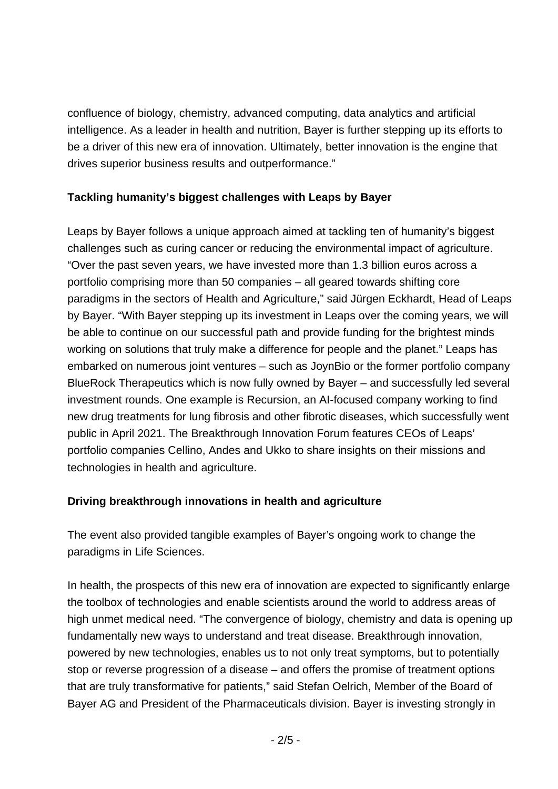confluence of biology, chemistry, advanced computing, data analytics and artificial intelligence. As a leader in health and nutrition, Bayer is further stepping up its efforts to be a driver of this new era of innovation. Ultimately, better innovation is the engine that drives superior business results and outperformance."

## **Tackling humanity's biggest challenges with Leaps by Bayer**

Leaps by Bayer follows a unique approach aimed at tackling ten of humanity's biggest challenges such as curing cancer or reducing the environmental impact of agriculture. "Over the past seven years, we have invested more than 1.3 billion euros across a portfolio comprising more than 50 companies – all geared towards shifting core paradigms in the sectors of Health and Agriculture," said Jürgen Eckhardt, Head of Leaps by Bayer. "With Bayer stepping up its investment in Leaps over the coming years, we will be able to continue on our successful path and provide funding for the brightest minds working on solutions that truly make a difference for people and the planet." Leaps has embarked on numerous joint ventures – such as JoynBio or the former portfolio company BlueRock Therapeutics which is now fully owned by Bayer – and successfully led several investment rounds. One example is Recursion, an AI-focused company working to find new drug treatments for lung fibrosis and other fibrotic diseases, which successfully went public in April 2021. The Breakthrough Innovation Forum features CEOs of Leaps' portfolio companies Cellino, Andes and Ukko to share insights on their missions and technologies in health and agriculture.

# **Driving breakthrough innovations in health and agriculture**

The event also provided tangible examples of Bayer's ongoing work to change the paradigms in Life Sciences.

In health, the prospects of this new era of innovation are expected to significantly enlarge the toolbox of technologies and enable scientists around the world to address areas of high unmet medical need. "The convergence of biology, chemistry and data is opening up fundamentally new ways to understand and treat disease. Breakthrough innovation, powered by new technologies, enables us to not only treat symptoms, but to potentially stop or reverse progression of a disease – and offers the promise of treatment options that are truly transformative for patients," said Stefan Oelrich, Member of the Board of Bayer AG and President of the Pharmaceuticals division. Bayer is investing strongly in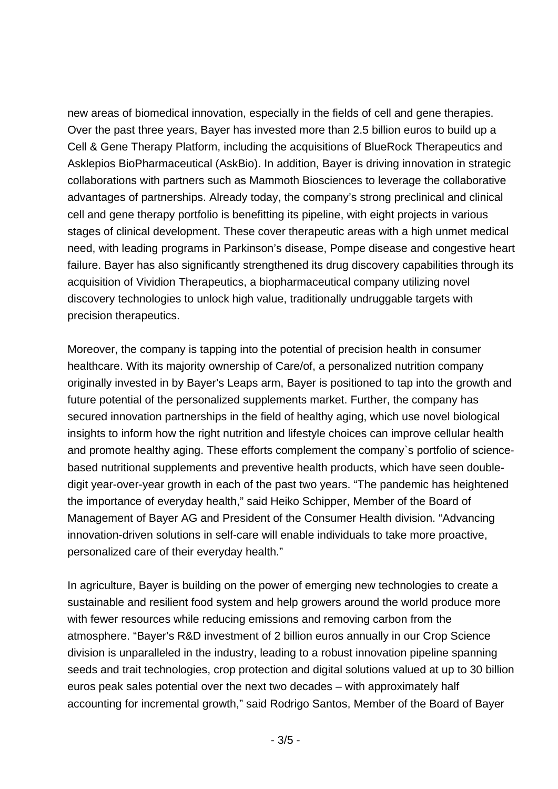new areas of biomedical innovation, especially in the fields of cell and gene therapies. Over the past three years, Bayer has invested more than 2.5 billion euros to build up a Cell & Gene Therapy Platform, including the acquisitions of BlueRock Therapeutics and Asklepios BioPharmaceutical (AskBio). In addition, Bayer is driving innovation in strategic collaborations with partners such as Mammoth Biosciences to leverage the collaborative advantages of partnerships. Already today, the company's strong preclinical and clinical cell and gene therapy portfolio is benefitting its pipeline, with eight projects in various stages of clinical development. These cover therapeutic areas with a high unmet medical need, with leading programs in Parkinson's disease, Pompe disease and congestive heart failure. Bayer has also significantly strengthened its drug discovery capabilities through its acquisition of Vividion Therapeutics, a biopharmaceutical company utilizing novel discovery technologies to unlock high value, traditionally undruggable targets with precision therapeutics.

Moreover, the company is tapping into the potential of precision health in consumer healthcare. With its majority ownership of Care/of, a personalized nutrition company originally invested in by Bayer's Leaps arm, Bayer is positioned to tap into the growth and future potential of the personalized supplements market. Further, the company has secured innovation partnerships in the field of healthy aging, which use novel biological insights to inform how the right nutrition and lifestyle choices can improve cellular health and promote healthy aging. These efforts complement the company`s portfolio of sciencebased nutritional supplements and preventive health products, which have seen doubledigit year-over-year growth in each of the past two years. "The pandemic has heightened the importance of everyday health," said Heiko Schipper, Member of the Board of Management of Bayer AG and President of the Consumer Health division. "Advancing innovation-driven solutions in self-care will enable individuals to take more proactive, personalized care of their everyday health."

In agriculture, Bayer is building on the power of emerging new technologies to create a sustainable and resilient food system and help growers around the world produce more with fewer resources while reducing emissions and removing carbon from the atmosphere. "Bayer's R&D investment of 2 billion euros annually in our Crop Science division is unparalleled in the industry, leading to a robust innovation pipeline spanning seeds and trait technologies, crop protection and digital solutions valued at up to 30 billion euros peak sales potential over the next two decades – with approximately half accounting for incremental growth," said Rodrigo Santos, Member of the Board of Bayer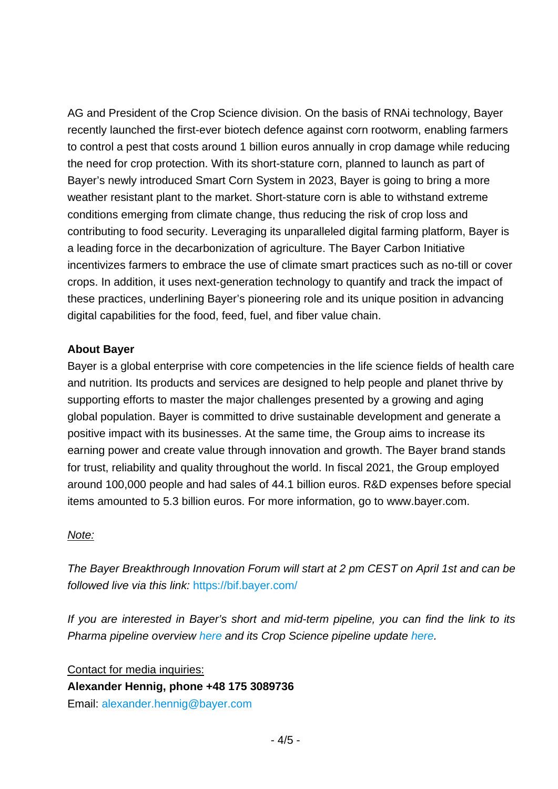AG and President of the Crop Science division. On the basis of RNAi technology, Bayer recently launched the first-ever biotech defence against corn rootworm, enabling farmers to control a pest that costs around 1 billion euros annually in crop damage while reducing the need for crop protection. With its short-stature corn, planned to launch as part of Bayer's newly introduced Smart Corn System in 2023, Bayer is going to bring a more weather resistant plant to the market. Short-stature corn is able to withstand extreme conditions emerging from climate change, thus reducing the risk of crop loss and contributing to food security. Leveraging its unparalleled digital farming platform, Bayer is a leading force in the decarbonization of agriculture. The Bayer Carbon Initiative incentivizes farmers to embrace the use of climate smart practices such as no-till or cover crops. In addition, it uses next-generation technology to quantify and track the impact of these practices, underlining Bayer's pioneering role and its unique position in advancing digital capabilities for the food, feed, fuel, and fiber value chain.

#### **About Bayer**

Bayer is a global enterprise with core competencies in the life science fields of health care and nutrition. Its products and services are designed to help people and planet thrive by supporting efforts to master the major challenges presented by a growing and aging global population. Bayer is committed to drive sustainable development and generate a positive impact with its businesses. At the same time, the Group aims to increase its earning power and create value through innovation and growth. The Bayer brand stands for trust, reliability and quality throughout the world. In fiscal 2021, the Group employed around 100,000 people and had sales of 44.1 billion euros. R&D expenses before special items amounted to 5.3 billion euros. For more information, go to [www.bayer.com.](http://www.bayer.com/)

#### *Note:*

*The Bayer Breakthrough Innovation Forum will start at 2 pm CEST on April 1st and can be followed live via this link:* <https://bif.bayer.com/>

*If you are interested in Bayer's short and mid-term pipeline, you can find the link to its Pharma pipeline overview [here](https://www.bayer.com/en/pharma/development-pipeline) and its Crop Science pipeline update [here.](https://www.bayer.com/en/investors/crop-science-rd-pipeline-update-webinar-2022-02)*

Contact for media inquiries: **Alexander Hennig, phone +48 175 3089736** Email: [alexander.hennig@bayer.com](mailto:alexander.hennig@bayer.oma)